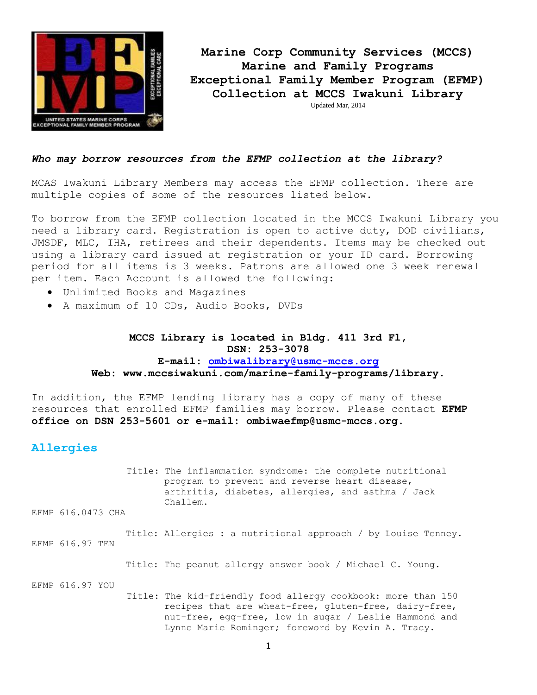

**Marine Corp Community Services (MCCS) Marine and Family Programs Exceptional Family Member Program (EFMP) Collection at MCCS Iwakuni Library** Updated Mar, 2014

#### *Who may borrow resources from the EFMP collection at the library?*

MCAS Iwakuni Library Members may access the EFMP collection. There are multiple copies of some of the resources listed below.

To borrow from the EFMP collection located in the MCCS Iwakuni Library you need a library card. Registration is open to active duty, DOD civilians, JMSDF, MLC, IHA, retirees and their dependents. Items may be checked out using a library card issued at registration or your ID card. Borrowing period for all items is 3 weeks. Patrons are allowed one 3 week renewal per item. Each Account is allowed the following:

- Unlimited Books and Magazines
- A maximum of 10 CDs, Audio Books, DVDs

## **MCCS Library is located in Bldg. 411 3rd Fl, DSN: 253-3078 E-mail: [ombiwalibrary@usmc-mccs.org](mailto:ombiwalibrary@usmc-mccs.org) Web: www.mccsiwakuni.com/marine-family-programs/library.**

In addition, the EFMP lending library has a copy of many of these resources that enrolled EFMP families may borrow. Please contact **EFMP office on DSN 253-5601 or e-mail: ombiwaefmp@usmc-mccs.org.** 

#### **Allergies**

Title: The inflammation syndrome: the complete nutritional program to prevent and reverse heart disease, arthritis, diabetes, allergies, and asthma / Jack Challem.

EFMP 616.0473 CHA

 Title: Allergies : a nutritional approach / by Louise Tenney. EFMP 616.97 TEN

Title: The peanut allergy answer book / Michael C. Young.

EFMP 616.97 YOU

Title: The kid-friendly food allergy cookbook: more than 150 recipes that are wheat-free, gluten-free, dairy-free, nut-free, egg-free, low in sugar / Leslie Hammond and Lynne Marie Rominger; foreword by Kevin A. Tracy.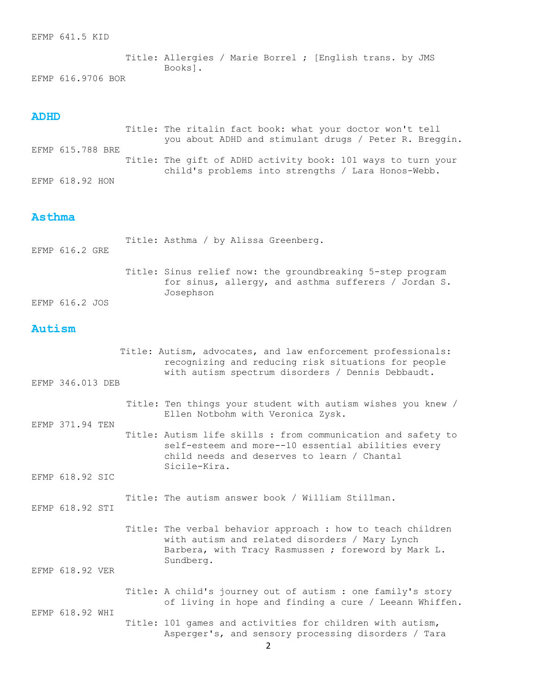EFMP 641.5 KID

 Title: Allergies / Marie Borrel ; [English trans. by JMS Books]. EFMP 616.9706 BOR

#### **ADHD**

 Title: The ritalin fact book: what your doctor won't tell you about ADHD and stimulant drugs / Peter R. Breggin. EFMP 615.788 BRE Title: The gift of ADHD activity book: 101 ways to turn your child's problems into strengths / Lara Honos-Webb. EFMP 618.92 HON

## **Asthma**

| EFMP 616.2 GRE |  | Title: Asthma / by Alissa Greenberg.                                                                                            |
|----------------|--|---------------------------------------------------------------------------------------------------------------------------------|
| EFMP 616.2 JOS |  | Title: Sinus relief now: the groundbreaking 5-step program<br>for sinus, allergy, and asthma sufferers / Jordan S.<br>Josephson |

## **Autism**

|                 | EFMP 346.013 DEB | Title: Autism, advocates, and law enforcement professionals:<br>recognizing and reducing risk situations for people<br>with autism spectrum disorders / Dennis Debbaudt.          |
|-----------------|------------------|-----------------------------------------------------------------------------------------------------------------------------------------------------------------------------------|
|                 |                  | Title: Ten things your student with autism wishes you knew /                                                                                                                      |
|                 | EFMP 371.94 TEN  | Ellen Notbohm with Veronica Zysk.                                                                                                                                                 |
|                 |                  | Title: Autism life skills : from communication and safety to<br>self-esteem and more--10 essential abilities every<br>child needs and deserves to learn / Chantal<br>Sicile-Kira. |
|                 | EFMP 618.92 SIC  |                                                                                                                                                                                   |
|                 | EFMP 618.92 STI  | Title: The autism answer book / William Stillman.                                                                                                                                 |
|                 |                  | Title: The verbal behavior approach : how to teach children<br>with autism and related disorders / Mary Lynch<br>Barbera, with Tracy Rasmussen ; foreword by Mark L.<br>Sundberg. |
|                 | EFMP 618.92 VER  |                                                                                                                                                                                   |
| EFMP 618.92 WHI |                  | Title: A child's journey out of autism : one family's story<br>of living in hope and finding a cure / Leeann Whiffen.                                                             |
|                 |                  | Title: 101 games and activities for children with autism,<br>Asperger's, and sensory processing disorders / Tara                                                                  |
|                 |                  | 2                                                                                                                                                                                 |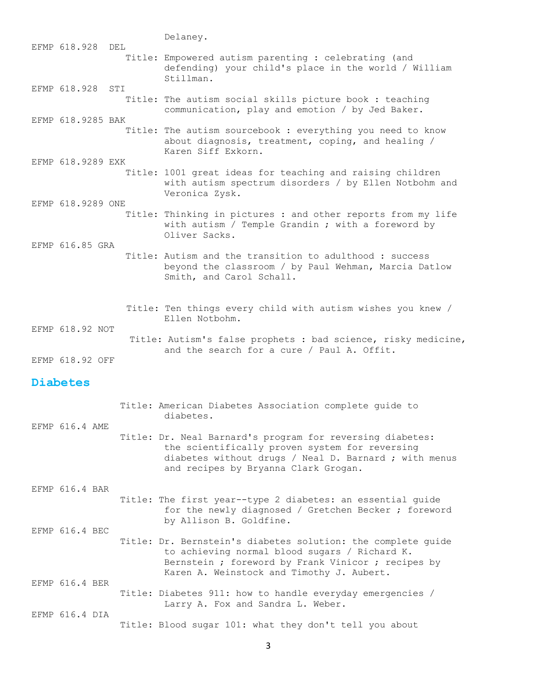Delaney. EFMP 618.928 DEL Title: Empowered autism parenting : celebrating (and defending) your child's place in the world / William Stillman. EFMP 618.928 STI Title: The autism social skills picture book : teaching communication, play and emotion / by Jed Baker. EFMP 618.9285 BAK Title: The autism sourcebook : everything you need to know about diagnosis, treatment, coping, and healing / Karen Siff Exkorn. EFMP 618.9289 EXK Title: 1001 great ideas for teaching and raising children with autism spectrum disorders / by Ellen Notbohm and Veronica Zysk. EFMP 618.9289 ONE Title: Thinking in pictures : and other reports from my life with autism / Temple Grandin ; with a foreword by Oliver Sacks. EFMP 616.85 GRA Title: Autism and the transition to adulthood : success beyond the classroom / by Paul Wehman, Marcia Datlow Smith, and Carol Schall. Title: Ten things every child with autism wishes you knew / Ellen Notbohm. EFMP 618.92 NOT Title: Autism's false prophets : bad science, risky medicine, and the search for a cure / Paul A. Offit. EFMP 618.92 OFF

#### **Diabetes**

|                |  | Title: American Diabetes Association complete quide to<br>diabetes.                                                                                                                                              |
|----------------|--|------------------------------------------------------------------------------------------------------------------------------------------------------------------------------------------------------------------|
| EFMP 616.4 AME |  | Title: Dr. Neal Barnard's program for reversing diabetes:<br>the scientifically proven system for reversing<br>diabetes without drugs / Neal D. Barnard ; with menus<br>and recipes by Bryanna Clark Grogan.     |
| EFMP 616.4 BAR |  | Title: The first year--type 2 diabetes: an essential guide<br>for the newly diagnosed / Gretchen Becker ; foreword<br>by Allison B. Goldfine.                                                                    |
| EFMP 616.4 BEC |  | Title: Dr. Bernstein's diabetes solution: the complete quide<br>to achieving normal blood sugars / Richard K.<br>Bernstein ; foreword by Frank Vinicor ; recipes by<br>Karen A. Weinstock and Timothy J. Aubert. |
| EFMP 616.4 BER |  | Title: Diabetes 911: how to handle everyday emergencies /<br>Larry A. Fox and Sandra L. Weber.                                                                                                                   |
| EFMP 616.4 DIA |  | Title: Blood sugar 101: what they don't tell you about                                                                                                                                                           |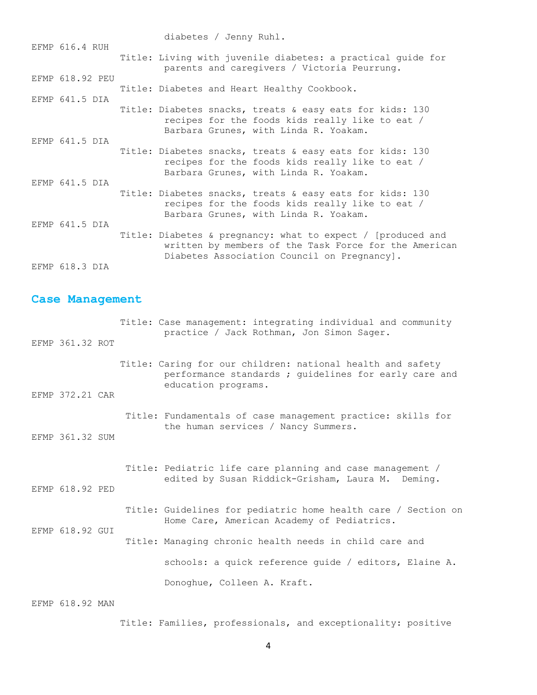diabetes / Jenny Ruhl. EFMP 616.4 RUH Title: Living with juvenile diabetes: a practical guide for parents and caregivers / Victoria Peurrung. EFMP 618.92 PEU Title: Diabetes and Heart Healthy Cookbook. EFMP 641.5 DIA Title: Diabetes snacks, treats & easy eats for kids: 130 recipes for the foods kids really like to eat / Barbara Grunes, with Linda R. Yoakam. EFMP 641.5 DIA Title: Diabetes snacks, treats & easy eats for kids: 130 recipes for the foods kids really like to eat / Barbara Grunes, with Linda R. Yoakam. EFMP 641.5 DIA Title: Diabetes snacks, treats & easy eats for kids: 130 recipes for the foods kids really like to eat / Barbara Grunes, with Linda R. Yoakam. EFMP 641.5 DIA Title: Diabetes & pregnancy: what to expect / [produced and written by members of the Task Force for the American Diabetes Association Council on Pregnancy]. EFMP 618.3 DIA

#### **Case Management**

| EFMP 361.32 ROT |  | Title: Case management: integrating individual and community<br>practice / Jack Rothman, Jon Simon Sager.                                  |
|-----------------|--|--------------------------------------------------------------------------------------------------------------------------------------------|
|                 |  | Title: Caring for our children: national health and safety<br>performance standards ; guidelines for early care and<br>education programs. |
| EFMP 372.21 CAR |  |                                                                                                                                            |
|                 |  | Title: Fundamentals of case management practice: skills for<br>the human services / Nancy Summers.                                         |
| EFMP 361.32 SUM |  |                                                                                                                                            |
| EFMP 618.92 PED |  | Title: Pediatric life care planning and case management /<br>edited by Susan Riddick-Grisham, Laura M. Deming.                             |
|                 |  | Title: Guidelines for pediatric home health care / Section on<br>Home Care, American Academy of Pediatrics.                                |
| EFMP 618.92 GUI |  | Title: Managing chronic health needs in child care and                                                                                     |
|                 |  | schools: a quick reference quide / editors, Elaine A.                                                                                      |
|                 |  | Donoghue, Colleen A. Kraft.                                                                                                                |
|                 |  |                                                                                                                                            |

EFMP 618.92 MAN

Title: Families, professionals, and exceptionality: positive

4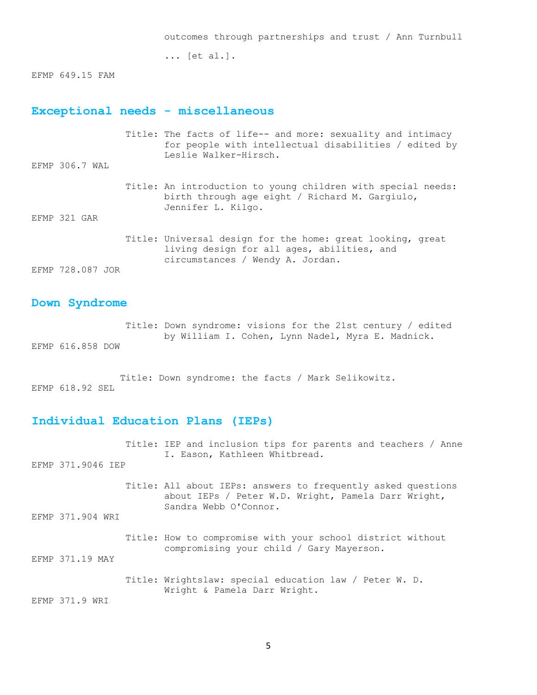... [et al.].

EFMP 649.15 FAM

## **Exceptional needs - miscellaneous**

| EFMP 306.7 WAL   | Title: The facts of life-- and more: sexuality and intimacy<br>for people with intellectual disabilities / edited by<br>Leslie Walker-Hirsch. |
|------------------|-----------------------------------------------------------------------------------------------------------------------------------------------|
| EFMP 321 GAR     | Title: An introduction to young children with special needs:<br>birth through age eight / Richard M. Gargiulo,<br>Jennifer L. Kilgo.          |
| EFMP 728.087 JOR | Title: Universal design for the home: great looking, great<br>living design for all ages, abilities, and<br>circumstances / Wendy A. Jordan.  |

#### **Down Syndrome**

 Title: Down syndrome: visions for the 21st century / edited by William I. Cohen, Lynn Nadel, Myra E. Madnick. EFMP 616.858 DOW

 Title: Down syndrome: the facts / Mark Selikowitz. EFMP 618.92 SEL

## **Individual Education Plans (IEPs)**

| EFMP 371.9046 IEP | Title: IEP and inclusion tips for parents and teachers / Anne<br>I. Eason, Kathleen Whitbread.                                               |
|-------------------|----------------------------------------------------------------------------------------------------------------------------------------------|
|                   | Title: All about IEPs: answers to frequently asked questions<br>about IEPs / Peter W.D. Wright, Pamela Darr Wright,<br>Sandra Webb O'Connor. |
| EFMP 371.904 WRI  |                                                                                                                                              |
|                   | Title: How to compromise with your school district without<br>compromising your child / Gary Mayerson.                                       |
| EFMP 371.19 MAY   |                                                                                                                                              |
|                   | Title: Wrightslaw: special education law / Peter W. D.<br>Wright & Pamela Darr Wright.                                                       |
| EFMP 371.9 WRI    |                                                                                                                                              |
|                   |                                                                                                                                              |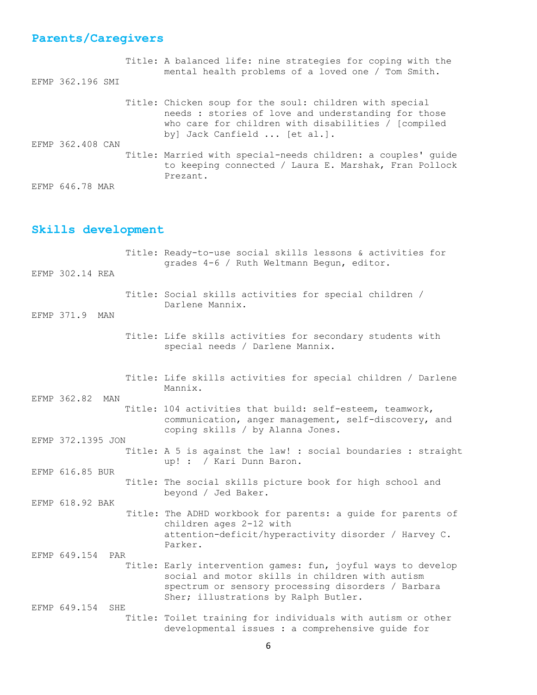# **Parents/Caregivers**

| EFMP 362.196 SMI | Title: A balanced life: nine strategies for coping with the<br>mental health problems of a loved one / Tom Smith.                                                                                       |
|------------------|---------------------------------------------------------------------------------------------------------------------------------------------------------------------------------------------------------|
| EFMP 362,408 CAN | Title: Chicken soup for the soul: children with special<br>needs : stories of love and understanding for those<br>who care for children with disabilities $/$ [compiled<br>by] Jack Canfield  [et al.]. |
|                  | Title: Married with special-needs children: a couples' guide<br>to keeping connected / Laura E. Marshak, Fran Pollock<br>Prezant.                                                                       |
| EFMP 646.78 MAR  |                                                                                                                                                                                                         |

## **Skills development**

| EFMP 302.14 REA   |     | Title: Ready-to-use social skills lessons & activities for<br>grades 4-6 / Ruth Weltmann Begun, editor.                                                                                                       |
|-------------------|-----|---------------------------------------------------------------------------------------------------------------------------------------------------------------------------------------------------------------|
| EFMP 371.9        | MAN | Title: Social skills activities for special children /<br>Darlene Mannix.                                                                                                                                     |
|                   |     | Title: Life skills activities for secondary students with<br>special needs / Darlene Mannix.                                                                                                                  |
| EFMP 362.82       | MAN | Title: Life skills activities for special children / Darlene<br>Mannix.                                                                                                                                       |
|                   |     | Title: 104 activities that build: self-esteem, teamwork,<br>communication, anger management, self-discovery, and<br>coping skills / by Alanna Jones.                                                          |
| EFMP 372.1395 JON |     |                                                                                                                                                                                                               |
|                   |     | Title: A 5 is against the law! : social boundaries : straight<br>up! : / Kari Dunn Baron.                                                                                                                     |
| EFMP 616.85 BUR   |     | Title: The social skills picture book for high school and<br>beyond / Jed Baker.                                                                                                                              |
| EFMP 618.92 BAK   |     |                                                                                                                                                                                                               |
|                   |     | Title: The ADHD workbook for parents: a guide for parents of<br>children ages 2-12 with<br>attention-deficit/hyperactivity disorder / Harvey C.<br>Parker.                                                    |
| EFMP 649.154      | PAR |                                                                                                                                                                                                               |
|                   |     | Title: Early intervention games: fun, joyful ways to develop<br>social and motor skills in children with autism<br>spectrum or sensory processing disorders / Barbara<br>Sher; illustrations by Ralph Butler. |
| EFMP 649.154      | SHE | Title: Toilet training for individuals with autism or other<br>developmental issues : a comprehensive quide for                                                                                               |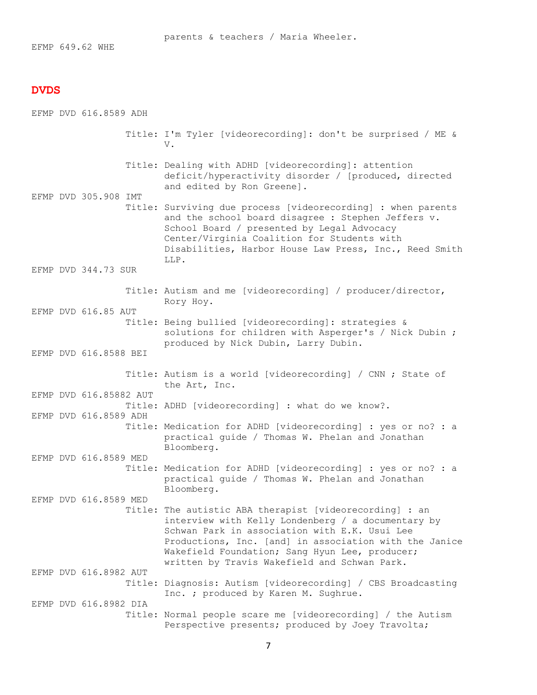EFMP 649.62 WHE

#### **DVDS**

EFMP DVD 616.8589 ADH

- Title: I'm Tyler [videorecording]: don't be surprised / ME & V.
	- Title: Dealing with ADHD [videorecording]: attention deficit/hyperactivity disorder / [produced, directed and edited by Ron Greene].
- EFMP DVD 305.908 IMT Title: Surviving due process [videorecording] : when parents and the school board disagree : Stephen Jeffers v. School Board / presented by Legal Advocacy Center/Virginia Coalition for Students with Disabilities, Harbor House Law Press, Inc., Reed Smith LLP.
- EFMP DVD 344.73 SUR

EFMP DVD 616.85 AUT

- Title: Autism and me [videorecording] / producer/director, Rory Hoy.
- Title: Being bullied [videorecording]: strategies & solutions for children with Asperger's / Nick Dubin ; produced by Nick Dubin, Larry Dubin.
- EFMP DVD 616.8588 BEI

EFMP DVD 616.85882 AUT

EFMP DVD 616.8589 ADH

EFMP DVD 616.8589 MED

- Title: Autism is a world [videorecording] / CNN ; State of the Art, Inc.
- Title: ADHD [videorecording] : what do we know?.
- Title: Medication for ADHD [videorecording] : yes or no? : a practical guide / Thomas W. Phelan and Jonathan Bloomberg.
- Title: Medication for ADHD [videorecording] : yes or no? : a practical guide / Thomas W. Phelan and Jonathan Bloomberg.
- EFMP DVD 616.8589 MED Title: The autistic ABA therapist [videorecording] : an interview with Kelly Londenberg / a documentary by Schwan Park in association with E.K. Usui Lee Productions, Inc. [and] in association with the Janice Wakefield Foundation; Sang Hyun Lee, producer; written by Travis Wakefield and Schwan Park. EFMP DVD 616.8982 AUT
- Title: Diagnosis: Autism [videorecording] / CBS Broadcasting Inc. ; produced by Karen M. Sughrue. EFMP DVD 616.8982 DIA Title: Normal people scare me [videorecording] / the Autism
	- Perspective presents; produced by Joey Travolta;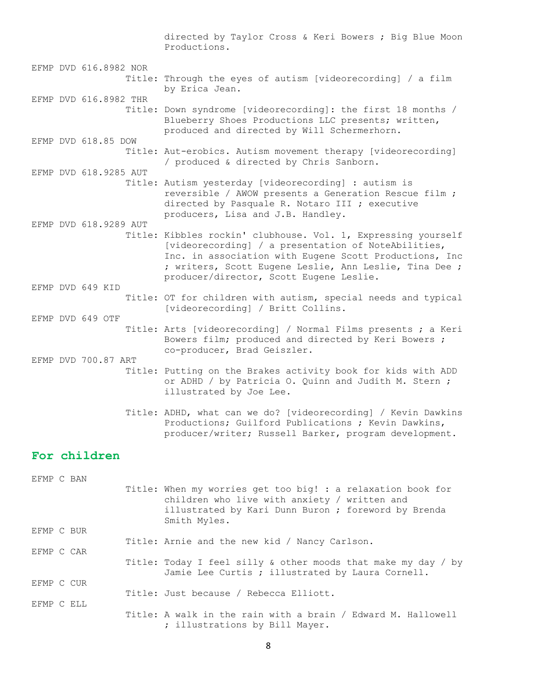directed by Taylor Cross & Keri Bowers ; Big Blue Moon Productions.

EFMP DVD 616.8982 NOR Title: Through the eyes of autism [videorecording] / a film by Erica Jean. EFMP DVD 616.8982 THR

 Title: Down syndrome [videorecording]: the first 18 months / Blueberry Shoes Productions LLC presents; written, produced and directed by Will Schermerhorn. EFMP DVD 618.85 DOW

 Title: Aut-erobics. Autism movement therapy [videorecording] / produced & directed by Chris Sanborn.

 Title: Autism yesterday [videorecording] : autism is reversible / AWOW presents a Generation Rescue film ; directed by Pasquale R. Notaro III ; executive producers, Lisa and J.B. Handley.

EFMP DVD 618.9289 AUT Title: Kibbles rockin' clubhouse. Vol. 1, Expressing yourself [videorecording] / a presentation of NoteAbilities, Inc. in association with Eugene Scott Productions, Inc ; writers, Scott Eugene Leslie, Ann Leslie, Tina Dee ; producer/director, Scott Eugene Leslie.

 Title: OT for children with autism, special needs and typical [videorecording] / Britt Collins.

 Title: Arts [videorecording] / Normal Films presents ; a Keri Bowers film; produced and directed by Keri Bowers ; co-producer, Brad Geiszler.

EFMP DVD 700.87 ART Title: Putting on the Brakes activity book for kids with ADD or ADHD / by Patricia O. Quinn and Judith M. Stern ; illustrated by Joe Lee.

> Title: ADHD, what can we do? [videorecording] / Kevin Dawkins Productions; Guilford Publications ; Kevin Dawkins, producer/writer; Russell Barker, program development.

## **For children**

EFMP DVD 649 KID

EFMP DVD 649 OTF

EFMP DVD 618.9285 AUT

EFMP C BAN Title: When my worries get too big! : a relaxation book for children who live with anxiety / written and illustrated by Kari Dunn Buron ; foreword by Brenda Smith Myles. EFMP C BUR Title: Arnie and the new kid / Nancy Carlson. EFMP C CAR Title: Today I feel silly & other moods that make my day / by Jamie Lee Curtis ; illustrated by Laura Cornell. EFMP C CUR Title: Just because / Rebecca Elliott. EFMP C ELL Title: A walk in the rain with a brain / Edward M. Hallowell ; illustrations by Bill Mayer.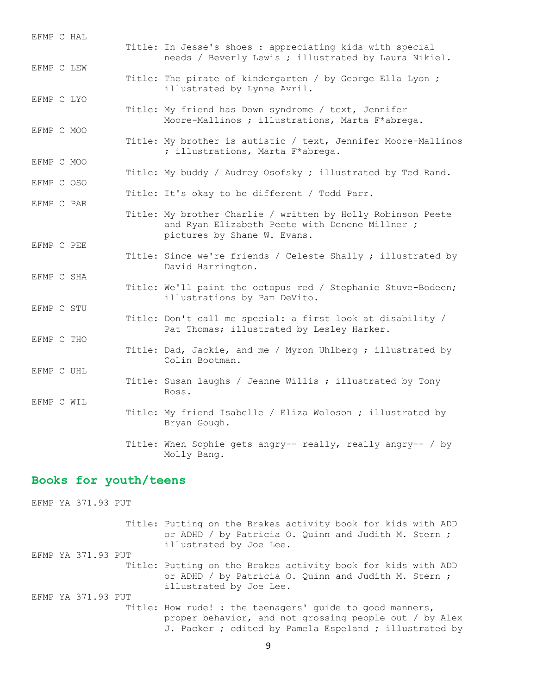| EFMP C HAL               | Title: In Jesse's shoes : appreciating kids with special<br>needs / Beverly Lewis ; illustrated by Laura Nikiel.                             |
|--------------------------|----------------------------------------------------------------------------------------------------------------------------------------------|
| EFMP C LEW               | Title: The pirate of kindergarten / by George Ella Lyon ;                                                                                    |
| EFMP C LYO               | illustrated by Lynne Avril.<br>Title: My friend has Down syndrome / text, Jennifer                                                           |
| EFMP C MOO               | Moore-Mallinos ; illustrations, Marta F*abrega.                                                                                              |
|                          | Title: My brother is autistic / text, Jennifer Moore-Mallinos<br>; illustrations, Marta F*abrega.                                            |
| EFMP C MOO<br>EFMP C OSO | Title: My buddy / Audrey Osofsky ; illustrated by Ted Rand.                                                                                  |
| EFMP C PAR               | Title: It's okay to be different / Todd Parr.                                                                                                |
|                          | Title: My brother Charlie / written by Holly Robinson Peete<br>and Ryan Elizabeth Peete with Denene Millner ;<br>pictures by Shane W. Evans. |
| EFMP C PEE               | Title: Since we're friends / Celeste Shally ; illustrated by<br>David Harrington.                                                            |
| EFMP C SHA               | Title: We'll paint the octopus red / Stephanie Stuve-Bodeen;<br>illustrations by Pam DeVito.                                                 |
| EFMP C STU               | Title: Don't call me special: a first look at disability /<br>Pat Thomas; illustrated by Lesley Harker.                                      |
| EFMP C THO               | Title: Dad, Jackie, and me / Myron Uhlberg ; illustrated by<br>Colin Bootman.                                                                |
| EFMP C UHL               | Title: Susan laughs / Jeanne Willis ; illustrated by Tony<br>Ross.                                                                           |
| EFMP C WIL               | Title: My friend Isabelle / Eliza Woloson ; illustrated by<br>Bryan Gough.                                                                   |
|                          | Title: When Sophie gets angry-- really, really angry-- / by<br>Molly Bang.                                                                   |

## **Books for youth/teens**

EFMP YA 371.93 PUT Title: Putting on the Brakes activity book for kids with ADD or ADHD / by Patricia O. Quinn and Judith M. Stern ; illustrated by Joe Lee. EFMP YA 371.93 PUT Title: Putting on the Brakes activity book for kids with ADD or ADHD / by Patricia O. Quinn and Judith M. Stern ; illustrated by Joe Lee. EFMP YA 371.93 PUT Title: How rude! : the teenagers' guide to good manners, proper behavior, and not grossing people out / by Alex J. Packer ; edited by Pamela Espeland ; illustrated by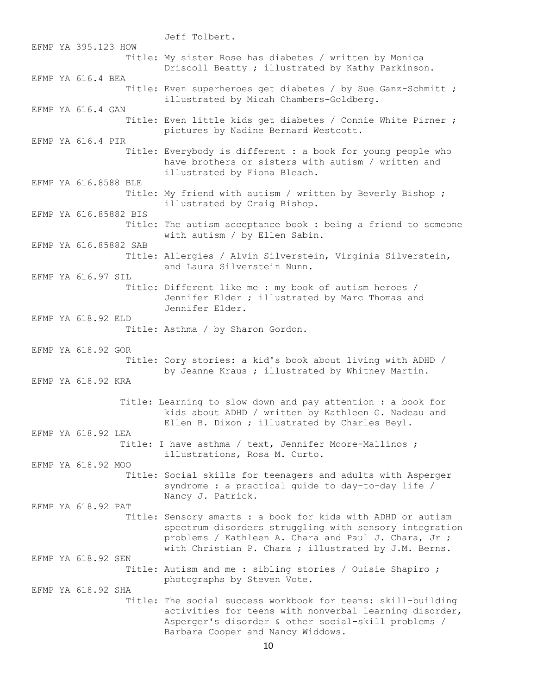Jeff Tolbert. EFMP YA 395.123 HOW Title: My sister Rose has diabetes / written by Monica Driscoll Beatty ; illustrated by Kathy Parkinson. EFMP YA 616.4 BEA Title: Even superheroes get diabetes / by Sue Ganz-Schmitt ; illustrated by Micah Chambers-Goldberg. EFMP YA 616.4 GAN Title: Even little kids get diabetes / Connie White Pirner ; pictures by Nadine Bernard Westcott. EFMP YA 616.4 PIR Title: Everybody is different : a book for young people who have brothers or sisters with autism / written and illustrated by Fiona Bleach. EFMP YA 616.8588 BLE Title: My friend with autism / written by Beverly Bishop ; illustrated by Craig Bishop. EFMP YA 616.85882 BIS Title: The autism acceptance book : being a friend to someone with autism / by Ellen Sabin. EFMP YA 616.85882 SAB Title: Allergies / Alvin Silverstein, Virginia Silverstein, and Laura Silverstein Nunn. EFMP YA 616.97 SIL Title: Different like me : my book of autism heroes / Jennifer Elder ; illustrated by Marc Thomas and Jennifer Elder. EFMP YA 618.92 ELD Title: Asthma / by Sharon Gordon. EFMP YA 618.92 GOR Title: Cory stories: a kid's book about living with ADHD / by Jeanne Kraus ; illustrated by Whitney Martin. EFMP YA 618.92 KRA Title: Learning to slow down and pay attention : a book for kids about ADHD / written by Kathleen G. Nadeau and Ellen B. Dixon ; illustrated by Charles Beyl. EFMP YA 618.92 LEA Title: I have asthma / text, Jennifer Moore-Mallinos ; illustrations, Rosa M. Curto. EFMP YA 618.92 MOO Title: Social skills for teenagers and adults with Asperger syndrome : a practical guide to day-to-day life / Nancy J. Patrick. EFMP YA 618.92 PAT Title: Sensory smarts : a book for kids with ADHD or autism spectrum disorders struggling with sensory integration problems / Kathleen A. Chara and Paul J. Chara, Jr ; with Christian P. Chara ; illustrated by J.M. Berns. EFMP YA 618.92 SEN Title: Autism and me : sibling stories / Ouisie Shapiro ; photographs by Steven Vote. EFMP YA 618.92 SHA Title: The social success workbook for teens: skill-building activities for teens with nonverbal learning disorder, Asperger's disorder & other social-skill problems / Barbara Cooper and Nancy Widdows.